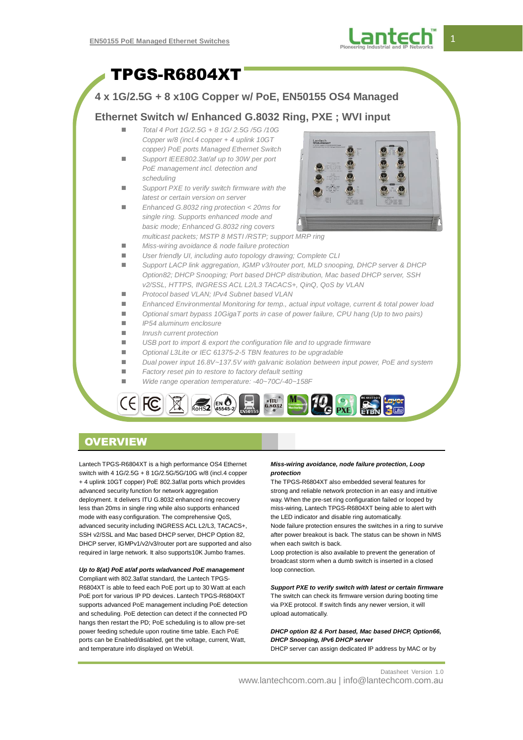

# TPGS-R6804XT

### **4 x 1G/2.5G + 8 x10G Copper w/ PoE, EN50155 OS4 Managed**

### **Ethernet Switch w/ Enhanced G.8032 Ring, PXE ; WVI input**

- *Total 4 Port 1G/2.5G + 8 1G/ 2.5G /5G /10G Copper w/8 (incl.4 copper + 4 uplink 10GT copper) PoE ports Managed Ethernet Switch*
- *Support IEEE802.3at/af up to 30W per port PoE management incl. detection and scheduling*
- *Support PXE to verify switch firmware with the latest or certain version on server*
- *Enhanced G.8032 ring protection < 20ms for single ring. Supports enhanced mode and basic mode; Enhanced G.8032 ring covers multicast packets; MSTP 8 MSTI /RSTP; support MRP ring*



- *Miss-wiring avoidance & node failure protection*
- *User friendly UI, including auto topology drawing; Complete CLI*
	- *Support LACP link aggregation, IGMP v3/router port, MLD snooping, DHCP server & DHCP Option82; DHCP Snooping; Port based DHCP distribution, Mac based DHCP server, SSH v2/SSL, HTTPS, INGRESS ACL L2/L3 TACACS+, QinQ, QoS by VLAN*
	- *Protocol based VLAN; IPv4 Subnet based VLAN*
	- *Enhanced Environmental Monitoring for temp., actual input voltage, current & total power load*
	- Optional smart bypass 10GigaT ports in case of power failure, CPU hang (Up to two pairs)
	- *IP54 aluminum enclosure*
	- *Inrush current protection*
	- *USB port to import & export the configuration file and to upgrade firmware*
	- *Optional L3Lite or IEC 61375-2-5 TBN features to be upgradable*
	- *Dual power input 16.8V~137.5V with galvanic isolation between input power, PoE and system*
	- *Factory reset pin to restore to factory default setting*
	- *Wide range operation temperature: -40~70C/-40~158F*



## **OVERVIEW**

Lantech TPGS-R6804XT is a high performance OS4 Ethernet switch with 4 1G/2.5G + 8 1G/2.5G/5G/10G w/8 (incl.4 copper + 4 uplink 10GT copper) PoE 802.3af/at ports which provides advanced security function for network aggregation deployment. It delivers ITU G.8032 enhanced ring recovery less than 20ms in single ring while also supports enhanced mode with easy configuration. The comprehensive QoS, advanced security including INGRESS ACL L2/L3, TACACS+, SSH v2/SSL and Mac based DHCP server, DHCP Option 82, DHCP server, IGMPv1/v2/v3/router port are supported and also required in large network. It also supports10K Jumbo frames.

#### *Up to 8(at) PoE at/af ports w/advanced PoE management*

Compliant with 802.3af/at standard, the Lantech TPGS-R6804XT is able to feed each PoE port up to 30 Watt at each PoE port for various IP PD devices. Lantech TPGS-R6804XT supports advanced PoE management including PoE detection and scheduling. PoE detection can detect if the connected PD hangs then restart the PD; PoE scheduling is to allow pre-set power feeding schedule upon routine time table. Each PoE ports can be Enabled/disabled, get the voltage, current, Watt, and temperature info displayed on WebUI.

#### *Miss-wiring avoidance, node failure protection, Loop protection*

The TPGS-R6804XT also embedded several features for strong and reliable network protection in an easy and intuitive way. When the pre-set ring configuration failed or looped by miss-wiring, Lantech TPGS-R6804XT being able to alert with the LED indicator and disable ring automatically.

Node failure protection ensures the switches in a ring to survive after power breakout is back. The status can be shown in NMS when each switch is back.

Loop protection is also available to prevent the generation of broadcast storm when a dumb switch is inserted in a closed loop connection.

### *Support PXE to verify switch with latest or certain firmware*

The switch can check its firmware version during booting time via PXE protocol. If switch finds any newer version, it will upload automatically.

#### *DHCP option 82 & Port based, Mac based DHCP, Option66, DHCP Snooping, IPv6 DHCP server*

DHCP server can assign dedicated IP address by MAC or by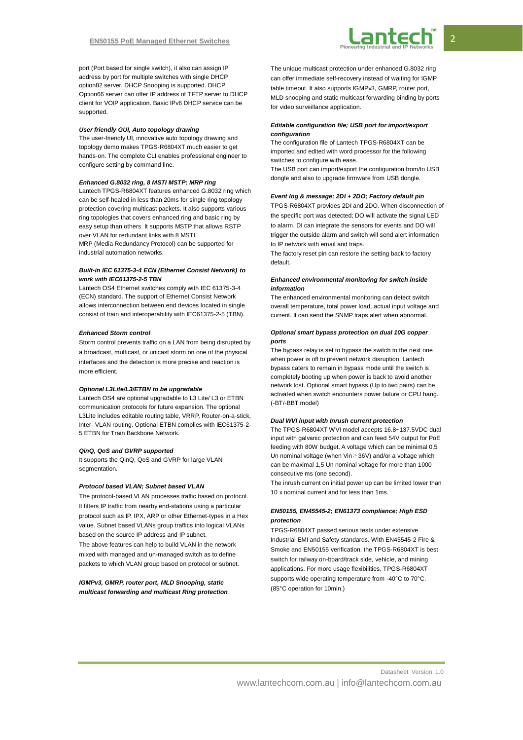

port (Port based for single switch), it also can assign IP address by port for multiple switches with single DHCP option82 server. DHCP Snooping is supported. DHCP Option66 server can offer IP address of TFTP server to DHCP client for VOIP application. Basic IPv6 DHCP service can be supported.

#### *User friendly GUI, Auto topology drawing*

The user-friendly UI, innovative auto topology drawing and topology demo makes TPGS-R6804XT much easier to get hands-on. The complete CLI enables professional engineer to configure setting by command line.

#### *Enhanced G.8032 ring, 8 MSTI MSTP; MRP ring*

Lantech TPGS-R6804XT features enhanced G.8032 ring which can be self-healed in less than 20ms for single ring topology protection covering multicast packets. It also supports various ring topologies that covers enhanced ring and basic ring by easy setup than others. It supports MSTP that allows RSTP over VLAN for redundant links with 8 MSTI. MRP (Media Redundancy Protocol) can be supported for industrial automation networks.

#### *Built-in IEC 61375-3-4 ECN (Ethernet Consist Network) to work with IEC61375-2-5 TBN*

Lantech OS4 Ethernet switches comply with IEC 61375-3-4 (ECN) standard. The support of Ethernet Consist Network allows interconnection between end devices located in single consist of train and interoperability with IEC61375-2-5 (TBN).

#### *Enhanced Storm control*

Storm control prevents traffic on a LAN from being disrupted by a broadcast, multicast, or unicast storm on one of the physical interfaces and the detection is more precise and reaction is more efficient.

#### *Optional L3Lite/L3/ETBN to be upgradable*

Lantech OS4 are optional upgradable to L3 Lite/ L3 or ETBN communication protocols for future expansion. The optional L3Lite includes editable routing table, VRRP, Router-on-a-stick, Inter- VLAN routing. Optional ETBN complies with IEC61375-2- 5 ETBN for Train Backbone Network.

#### *QinQ, QoS and GVRP supported*

It supports the QinQ, QoS and GVRP for large VLAN segmentation

#### *Protocol based VLAN; Subnet based VLAN*

The protocol-based VLAN processes traffic based on protocol. It filters IP traffic from nearby end-stations using a particular protocol such as IP, IPX, ARP or other Ethernet-types in a Hex value. Subnet based VLANs group traffics into logical VLANs based on the source IP address and IP subnet.

The above features can help to build VLAN in the network mixed with managed and un-managed switch as to define packets to which VLAN group based on protocol or subnet.

*IGMPv3, GMRP, router port, MLD Snooping, static multicast forwarding and multicast Ring protection* The unique multicast protection under enhanced G.8032 ring can offer immediate self-recovery instead of waiting for IGMP table timeout. It also supports IGMPv3, GMRP, router port, MLD snooping and static multicast forwarding binding by ports for video surveillance application.

#### *Editable configuration file; USB port for import/export configuration*

The configuration file of Lantech TPGS-R6804XT can be imported and edited with word processor for the following switches to configure with ease.

The USB port can import/export the configuration from/to USB dongle and also to upgrade firmware from USB dongle.

#### *Event log & message; 2DI + 2DO; Factory default pin*

TPGS-R6804XT provides 2DI and 2DO. When disconnection of the specific port was detected; DO will activate the signal LED to alarm. DI can integrate the sensors for events and DO will trigger the outside alarm and switch will send alert information to IP network with email and traps.

The factory reset pin can restore the setting back to factory default.

#### *Enhanced environmental monitoring for switch inside information*

The enhanced environmental monitoring can detect switch overall temperature, total power load, actual input voltage and current. It can send the SNMP traps alert when abnormal.

#### *Optional smart bypass protection on dual 10G copper ports*

The bypass relay is set to bypass the switch to the next one when power is off to prevent network disruption. Lantech bypass caters to remain in bypass mode until the switch is completely booting up when power is back to avoid another network lost. Optional smart bypass (Up to two pairs) can be activated when switch encounters power failure or CPU hang. (-BT/-BBT model)

#### *Dual WVI input with Inrush current protection*

The TPGS-R6804XT WVI model accepts 16.8~137.5VDC dual input with galvanic protection and can feed 54V output for PoE feeding with 80W budget. A voltage which can be minimal 0,5 Un nominal voltage (when Vin≧36V) and/or a voltage which can be maximal 1,5 Un nominal voltage for more than 1000 consecutive ms (one second).

The inrush current on initial power up can be limited lower than 10 x nominal current and for less than 1ms.

#### *EN50155, EN45545-2; EN61373 compliance; High ESD protection*

TPGS-R6804XT passed serious tests under extensive Industrial EMI and Safety standards. With EN45545-2 Fire & Smoke and EN50155 verification, the TPGS-R6804XT is best switch for railway on-board/track side, vehicle, and mining applications. For more usage flexibilities, TPGS-R6804XT supports wide operating temperature from -40°C to 70°C. (85°C operation for 10min.)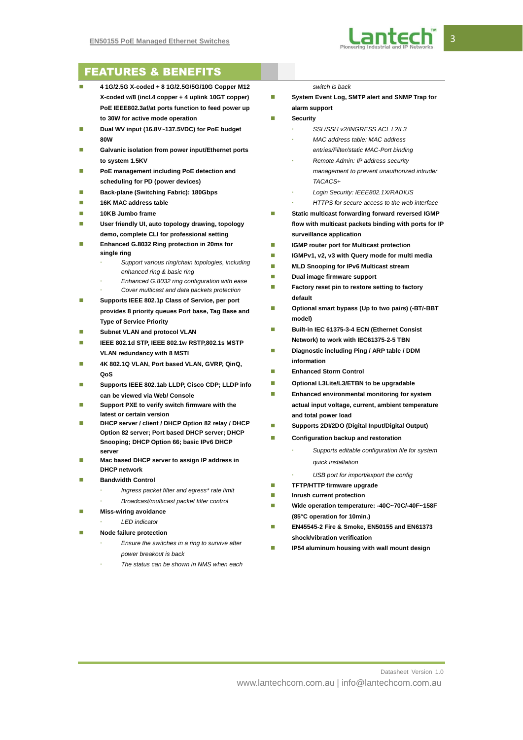

## FEATURES & BENEFITS

- **4 1G/2.5G X-coded + 8 1G/2.5G/5G/10G Copper M12 X-coded w/8 (incl.4 copper + 4 uplink 10GT copper) PoE IEEE802.3af/at ports function to feed power up to 30W for active mode operation**
- **Dual WV input (16.8V~137.5VDC) for PoE budget 80W**
- Galvanic isolation from power input/Ethernet ports **to system 1.5KV**
- **PoE management including PoE detection and scheduling for PD (power devices)**
- **Back-plane (Switching Fabric): 180Gbps**
- **16K MAC address table**
- **10KB Jumbo frame**
- **User friendly UI, auto topology drawing, topology demo, complete CLI for professional setting**
- **Enhanced G.8032 Ring protection in 20ms for single ring**
	- *Support various ring/chain topologies, including enhanced ring & basic ring*
	- *Enhanced G.8032 ring configuration with ease*
	- *Cover multicast and data packets protection*
- **Supports IEEE 802.1p Class of Service, per port provides 8 priority queues Port base, Tag Base and Type of Service Priority**
- **Subnet VLAN and protocol VLAN**
- **IEEE 802.1d STP, IEEE 802.1w RSTP,802.1s MSTP VLAN redundancy with 8 MSTI**
- **4K 802.1Q VLAN, Port based VLAN, GVRP, QinQ, QoS**
- **Supports IEEE 802.1ab LLDP, Cisco CDP; LLDP info can be viewed via Web/ Console**
- **Support PXE to verify switch firmware with the latest or certain version**
- **DHCP server / client / DHCP Option 82 relay / DHCP Option 82 server; Port based DHCP server; DHCP Snooping; DHCP Option 66; basic IPv6 DHCP server**
- **Mac based DHCP server to assign IP address in DHCP network**
- **Bandwidth Control**
	- *Ingress packet filter and egress\* rate limit*
		- *Broadcast/multicast packet filter control*
- **Miss-wiring avoidance** 
	- *LED indicator*
	- **Node failure protection**
		- *Ensure the switches in a ring to survive after power breakout is back*
		- *The status can be shown in NMS when each*

#### *switch is back*

- System Event Log, SMTP alert and SNMP Trap for **alarm support**
- **Security**
	- *SSL/SSH v2/INGRESS ACL L2/L3*
	- *MAC address table: MAC address*
	- *entries/Filter/static MAC-Port binding*
	- *Remote Admin: IP address security management to prevent unauthorized intruder TACACS+*
	- *Login Security: IEEE802.1X/RADIUS*
	- *HTTPS for secure access to the web interface*
- **External Static multicast forwarding forward reversed IGMP flow with multicast packets binding with ports for IP surveillance application**
- **IGMP router port for Multicast protection**
- **IGMPv1, v2, v3 with Query mode for multi media**
- **MLD Snooping for IPv6 Multicast stream**
- **Dual image firmware support**
- **Factory reset pin to restore setting to factory default**
- **Optional smart bypass (Up to two pairs) (-BT/-BBT model)**
- **Built-in IEC 61375-3-4 ECN (Ethernet Consist Network) to work with IEC61375-2-5 TBN**
- **Diagnostic including Ping / ARP table / DDM information**
- **Enhanced Storm Control**
- **Optional L3Lite/L3/ETBN to be upgradable**
- **Enhanced environmental monitoring for system actual input voltage, current, ambient temperature and total power load**
- **Supports 2DI/2DO (Digital Input/Digital Output)**
- **Configuration backup and restoration** 
	- *Supports editable configuration file for system quick installation*
	- *USB port for import/export the config*
- **TFTP/HTTP firmware upgrade**
- **Inrush current protection**
- **Wide operation temperature: -40C~70C/-40F~158F (85°C operation for 10min.)**
- **EN45545-2 Fire & Smoke, EN50155 and EN61373 shock/vibration verification**
- **IP54 aluminum housing with wall mount design**

Datasheet Version 1.0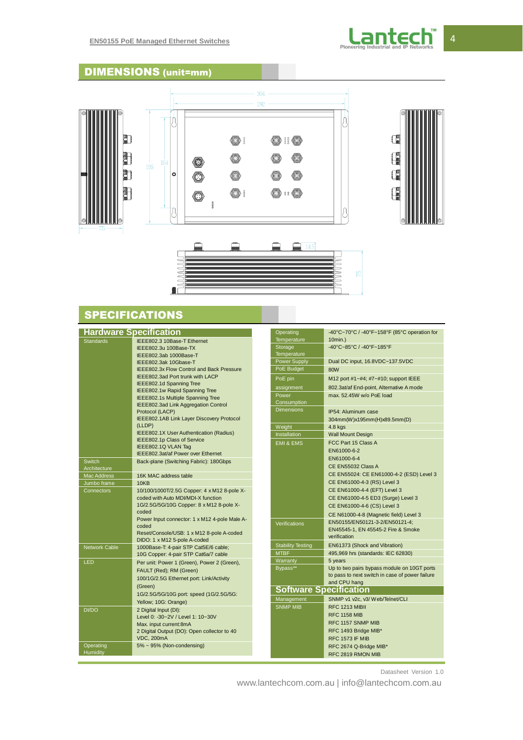

## DIMENSIONS (unit=mm)



## **SPECIFICATIONS**

| <b>Hardware Specification</b> |                                                         | Operating                     | -40°C~70°C / -40°F~158°F (85°C operation for    |
|-------------------------------|---------------------------------------------------------|-------------------------------|-------------------------------------------------|
| Standards                     | IEEE802.3 10Base-T Ethernet                             | <b>Temperature</b>            | $10$ min.)                                      |
|                               | IEEE802.3u 100Base-TX                                   | Storage                       | -40°C~85°C / -40°F~185°F                        |
|                               | IEEE802.3ab 1000Base-T                                  | Temperature                   |                                                 |
|                               | IEEE802.3ak 10Gbase-T                                   | <b>Power Supply</b>           | Dual DC input, 16.8VDC~137.5VDC                 |
|                               | <b>IEEE802.3x Flow Control and Back Pressure</b>        | PoE Budget                    | <b>80W</b>                                      |
|                               | IEEE802.3ad Port trunk with LACP                        | PoE pin                       | M12 port #1~#4; #7~#10; support IEEE            |
|                               | <b>IEEE802.1d Spanning Tree</b>                         | assignment                    | 802.3at/af End-point, Alternative A mode        |
|                               | IEEE802.1w Rapid Spanning Tree                          | Power                         | max, 52,45W w/o PoE load                        |
|                               | IEEE802.1s Multiple Spanning Tree                       | Consumption                   |                                                 |
|                               | IEEE802.3ad Link Aggregation Control<br>Protocol (LACP) | <b>Dimensions</b>             | IP54: Aluminum case                             |
|                               | IEEE802.1AB Link Layer Discovery Protocol               |                               |                                                 |
|                               | (LLDP)                                                  | Weight                        | 304mm(W)x195mm(H)x89.5mm(D)<br>$4.8$ kgs        |
|                               | IEEE802.1X User Authentication (Radius)                 | Installation                  | <b>Wall Mount Design</b>                        |
|                               | IEEE802.1p Class of Service                             |                               | FCC Part 15 Class A                             |
|                               | IEEE802.1Q VLAN Tag                                     | <b>EMI &amp; EMS</b>          |                                                 |
|                               | IEEE802.3at/af Power over Ethernet                      |                               | EN61000-6-2                                     |
| <b>Switch</b>                 | Back-plane (Switching Fabric): 180Gbps                  |                               | EN61000-6-4                                     |
| Architecture                  |                                                         |                               | CE EN55032 Class A                              |
| <b>Mac Address</b>            | 16K MAC address table                                   |                               | CE EN55024: CE EN61000-4-2 (ESD) Level 3        |
| Jumbo frame                   | 10KB                                                    |                               | CE EN61000-4-3 (RS) Level 3                     |
| Connectors                    | 10/100/1000T/2.5G Copper: 4 x M12 8-pole X-             |                               | CE EN61000-4-4 (EFT) Level 3                    |
|                               | coded with Auto MDI/MDI-X function                      |                               | CE EN61000-4-5 ED3 (Surge) Level 3              |
|                               | 1G/2.5G/5G/10G Copper: 8 x M12 8-pole X-                |                               | CE EN61000-4-6 (CS) Level 3                     |
|                               | coded                                                   |                               | CE N61000-4-8 (Magnetic field) Level 3          |
|                               | Power Input connector: 1 x M12 4-pole Male A-<br>coded  | Verifications                 | EN50155/EN50121-3-2/EN50121-4;                  |
|                               | Reset/Console/USB: 1 x M12 8-pole A-coded               |                               | EN45545-1, EN 45545-2 Fire & Smoke              |
|                               | DIDO: 1 x M12 5-pole A-coded                            |                               | verification                                    |
| Network Cable                 | 1000Base-T: 4-pair STP Cat5E/6 cable;                   | <b>Stability Testing</b>      | EN61373 (Shock and Vibration)                   |
|                               | 10G Copper: 4-pair STP Cat6a/7 cable                    | <b>MTBF</b>                   | 495,969 hrs (standards: IEC 62830)              |
| LED                           | Per unit: Power 1 (Green), Power 2 (Green),             | Warranty                      | 5 years                                         |
|                               | FAULT (Red); RM (Green)                                 | Bypass**                      | Up to two pairs bypass module on 10GT ports     |
|                               | 100/1G/2.5G Ethernet port: Link/Activity                |                               | to pass to next switch in case of power failure |
|                               | (Green)                                                 |                               | and CPU hang                                    |
|                               | 1G/2.5G/5G/10G port: speed (1G/2.5G/5G:                 | <b>Software Specification</b> |                                                 |
|                               | Yellow; 10G: Orange)                                    | Management                    | SNMP v1 v2c, v3/ Web/Telnet/CLI                 |
| <b>DI/DO</b>                  | 2 Digital Input (DI):                                   | <b>SNMP MIB</b>               | RFC 1213 MIBII                                  |
|                               | Level 0: -30~2V / Level 1: 10~30V                       |                               | <b>RFC 1158 MIB</b>                             |
|                               | Max. input current:8mA                                  |                               | RFC 1157 SNMP MIB                               |
|                               | 2 Digital Output (DO): Open collector to 40             |                               | RFC 1493 Bridge MIB*                            |
|                               | <b>VDC, 200mA</b>                                       |                               | <b>RFC 1573 IF MIB</b>                          |
| Operating                     | 5% ~ 95% (Non-condensing)                               |                               | RFC 2674 Q-Bridge MIB*                          |
| <b>Humidity</b>               |                                                         |                               | RFC 2819 RMON MIB                               |

Datasheet Version 1.0

www.lantechcom.com.au | info@lantechcom.com.au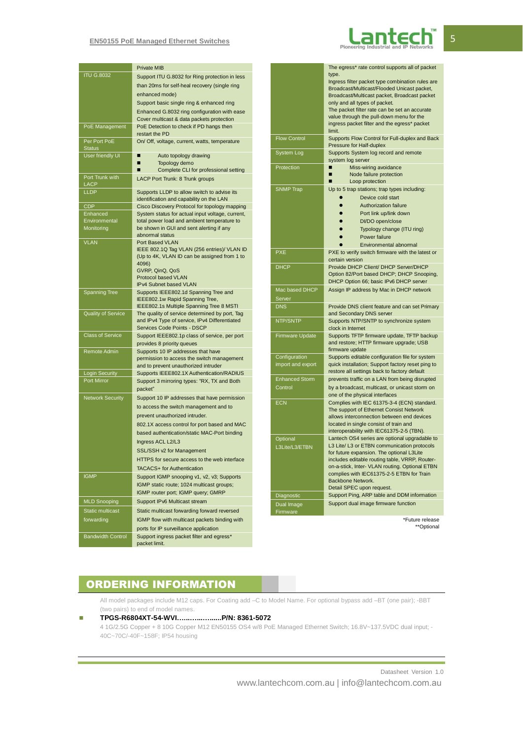#### **EN50155 PoE Managed Ethernet Switches**



|                           | <b>Private MIB</b>                                                                              |
|---------------------------|-------------------------------------------------------------------------------------------------|
| <b>ITU G.8032</b>         | Support ITU G.8032 for Ring protection in less                                                  |
|                           | than 20ms for self-heal recovery (single ring                                                   |
|                           | enhanced mode)                                                                                  |
|                           | Support basic single ring & enhanced ring                                                       |
|                           | Enhanced G.8032 ring configuration with ease                                                    |
|                           | Cover multicast & data packets protection                                                       |
| PoE Management            | PoE Detection to check if PD hangs then                                                         |
| Per Port PoE              | restart the PD<br>On/ Off, voltage, current, watts, temperature                                 |
| <b>Status</b>             |                                                                                                 |
| User friendly UI          | Auto topology drawing<br>■                                                                      |
|                           | Topology demo                                                                                   |
| Port Trunk with           | Complete CLI for professional setting                                                           |
| <b>LACP</b>               | LACP Port Trunk: 8 Trunk groups                                                                 |
| <b>LLDP</b>               | Supports LLDP to allow switch to advise its                                                     |
|                           | identification and capability on the LAN                                                        |
| <b>CDP</b>                | Cisco Discovery Protocol for topology mapping                                                   |
| Enhanced<br>Environmental | System status for actual input voltage, current,<br>total power load and ambient temperature to |
| Monitoring                | be shown in GUI and sent alerting if any                                                        |
|                           | abnormal status                                                                                 |
| <b>VLAN</b>               | Port Based VLAN                                                                                 |
|                           | IEEE 802.1Q Tag VLAN (256 entries)/ VLAN ID<br>(Up to 4K, VLAN ID can be assigned from 1 to     |
|                           | 4096)                                                                                           |
|                           | GVRP, QinQ, QoS                                                                                 |
|                           | <b>Protocol based VLAN</b><br>IPv4 Subnet based VLAN                                            |
| <b>Spanning Tree</b>      | Supports IEEE802.1d Spanning Tree and                                                           |
|                           | IEEE802.1w Rapid Spanning Tree,                                                                 |
|                           | <b>IEEE802.1s Multiple Spanning Tree 8 MSTI</b>                                                 |
| <b>Quality of Service</b> | The quality of service determined by port, Tag                                                  |
|                           | and IPv4 Type of service, IPv4 Differentiated<br>Services Code Points - DSCP                    |
| <b>Class of Service</b>   | Support IEEE802.1p class of service, per port                                                   |
|                           | provides 8 priority queues                                                                      |
| Remote Admin              | Supports 10 IP addresses that have                                                              |
|                           | permission to access the switch management                                                      |
| <b>Login Security</b>     | and to prevent unauthorized intruder<br>Supports IEEE802.1X Authentication/RADIUS               |
| Port Mirror               | Support 3 mirroring types: "RX, TX and Both                                                     |
|                           | packet"                                                                                         |
| <b>Network Security</b>   | Support 10 IP addresses that have permission                                                    |
|                           | to access the switch management and to                                                          |
|                           | prevent unauthorized intruder.                                                                  |
|                           | 802.1X access control for port based and MAC                                                    |
|                           | based authentication/static MAC-Port binding                                                    |
|                           | Ingress ACL L2/L3                                                                               |
|                           | SSL/SSH v2 for Management                                                                       |
|                           | HTTPS for secure access to the web interface                                                    |
|                           | <b>TACACS+</b> for Authentication                                                               |
| <b>IGMP</b>               | Support IGMP snooping v1, v2, v3; Supports                                                      |
|                           | IGMP static route; 1024 multicast groups;                                                       |
|                           | IGMP router port; IGMP query; GMRP                                                              |
| <b>MLD Snooping</b>       | Support IPv6 Multicast stream                                                                   |
| Static multicast          | Static multicast forwarding forward reversed                                                    |
| forwarding                | IGMP flow with multicast packets binding with                                                   |
|                           | ports for IP surveillance application                                                           |
| <b>Bandwidth Control</b>  | Support ingress packet filter and egress*<br>packet limit.                                      |

| <b>Flow Control</b><br><b>System Log</b><br>Protection | The egress* rate control supports all of packet<br>type.<br>Ingress filter packet type combination rules are<br>Broadcast/Multicast/Flooded Unicast packet,<br>Broadcast/Multicast packet, Broadcast packet<br>only and all types of packet.<br>The packet filter rate can be set an accurate<br>value through the pull-down menu for the<br>ingress packet filter and the egress* packet<br>limit.<br>Supports Flow Control for Full-duplex and Back<br>Pressure for Half-duplex<br>Supports System log record and remote<br>system log server<br>Miss-wiring avoidance |
|--------------------------------------------------------|--------------------------------------------------------------------------------------------------------------------------------------------------------------------------------------------------------------------------------------------------------------------------------------------------------------------------------------------------------------------------------------------------------------------------------------------------------------------------------------------------------------------------------------------------------------------------|
|                                                        | Node failure protection<br>п<br>Loop protection<br>■                                                                                                                                                                                                                                                                                                                                                                                                                                                                                                                     |
| <b>SNMP Trap</b>                                       | Up to 5 trap stations; trap types including:<br>Device cold start<br><b>Authorization failure</b><br>$\bullet$<br>Port link up/link down<br>DI/DO open/close<br>Typology change (ITU ring)<br>Power failure<br>Environmental abnomal                                                                                                                                                                                                                                                                                                                                     |
| <b>PXE</b>                                             | PXE to verify switch firmware with the latest or<br>certain version                                                                                                                                                                                                                                                                                                                                                                                                                                                                                                      |
| <b>DHCP</b>                                            | Provide DHCP Client/ DHCP Server/DHCP<br>Option 82/Port based DHCP; DHCP Snooping,<br>DHCP Option 66; basic IPv6 DHCP server                                                                                                                                                                                                                                                                                                                                                                                                                                             |
| Mac based DHCP<br>Server                               | Assign IP address by Mac in DHCP network                                                                                                                                                                                                                                                                                                                                                                                                                                                                                                                                 |
| <b>DNS</b>                                             | Provide DNS client feature and can set Primary<br>and Secondary DNS server                                                                                                                                                                                                                                                                                                                                                                                                                                                                                               |
| NTP/SNTP                                               | Supports NTP/SNTP to synchronize system<br>clock in Internet                                                                                                                                                                                                                                                                                                                                                                                                                                                                                                             |
| <b>Firmware Update</b>                                 | Supports TFTP firmware update, TFTP backup<br>and restore; HTTP firmware upgrade; USB<br>firmware update                                                                                                                                                                                                                                                                                                                                                                                                                                                                 |
| Configuration<br>import and export                     | Supports editable configuration file for system<br>quick installation; Support factory reset ping to<br>restore all settings back to factory default                                                                                                                                                                                                                                                                                                                                                                                                                     |
| <b>Enhanced Storm</b><br>Control                       | prevents traffic on a LAN from being disrupted<br>by a broadcast, multicast, or unicast storm on<br>one of the physical interfaces                                                                                                                                                                                                                                                                                                                                                                                                                                       |
| <b>ECN</b>                                             | Complies with IEC 61375-3-4 (ECN) standard.<br>The support of Ethernet Consist Network<br>allows interconnection between end devices<br>located in single consist of train and<br>interoperability with IEC61375-2-5 (TBN).                                                                                                                                                                                                                                                                                                                                              |
| Optional<br>L3Lite/L3/ETBN                             | Lantech OS4 series are optional upgradable to<br>L3 Lite/ L3 or ETBN communication protocols<br>for future expansion. The optional L3Lite<br>includes editable routing table, VRRP, Router-<br>on-a-stick, Inter- VLAN routing. Optional ETBN<br>complies with IEC61375-2-5 ETBN for Train<br>Backbone Network.<br>Detail SPEC upon request.                                                                                                                                                                                                                             |
| Diagnostic                                             | Support Ping, ARP table and DDM information<br>Support dual image firmware function                                                                                                                                                                                                                                                                                                                                                                                                                                                                                      |
| Dual Image<br>Firmware                                 |                                                                                                                                                                                                                                                                                                                                                                                                                                                                                                                                                                          |

\*Future release \*\*Optional

## ORDERING INFORMATION

All model packages include M12 caps. For Coating add –C to Model Name. For optional bypass add –BT (one pair); -BBT (two pairs) to end of model names.

#### **TPGS-R6804XT-54-WVI…...…...…......P/N: 8361-5072** 4 1G/2.5G Copper + 8 10G Copper M12 EN50155 OS4 w/8 PoE Managed Ethernet Switch; 16.8V~137.5VDC dual input; - 40C~70C/-40F~158F; IP54 housing